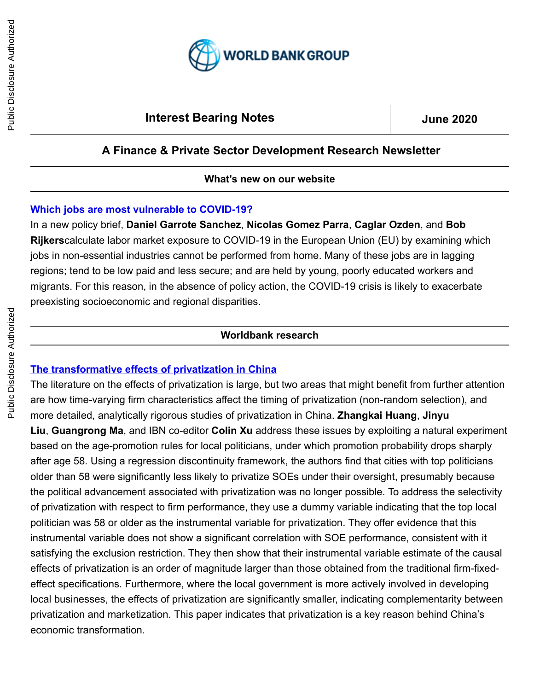

# **Interest Bearing Notes** *June 2020*

# **A Finance & Private Sector Development Research Newsletter**

### **What's new on our website**

### **[Which jobs are most vulnerable to COVID-19?](http://t.newsletterext.worldbank.org/r/?id=h9436705,3dd7f9c,3df3c9d)**

In a new policy brief, **Daniel Garrote Sanchez**, **Nicolas Gomez Parra**, **Caglar Ozden**, and **Bob Rijkers**calculate labor market exposure to COVID-19 in the European Union (EU) by examining which jobs in non-essential industries cannot be performed from home. Many of these jobs are in lagging regions; tend to be low paid and less secure; and are held by young, poorly educated workers and migrants. For this reason, in the absence of policy action, the COVID-19 crisis is likely to exacerbate preexisting socioeconomic and regional disparities.

## **Worldbank research**

## **[The transformative effects of privatization in China](http://t.newsletterext.worldbank.org/r/?id=h9436705,3dd7f9c,3df3c9e)**

The literature on the effects of privatization is large, but two areas that might benefit from further attention are how time-varying firm characteristics affect the timing of privatization (non-random selection), and more detailed, analytically rigorous studies of privatization in China. **Zhangkai Huang**, **Jinyu Liu**, **Guangrong Ma**, and IBN co-editor **Colin Xu** address these issues by exploiting a natural experiment based on the age-promotion rules for local politicians, under which promotion probability drops sharply after age 58. Using a regression discontinuity framework, the authors find that cities with top politicians older than 58 were significantly less likely to privatize SOEs under their oversight, presumably because the political advancement associated with privatization was no longer possible. To address the selectivity of privatization with respect to firm performance, they use a dummy variable indicating that the top local politician was 58 or older as the instrumental variable for privatization. They offer evidence that this instrumental variable does not show a significant correlation with SOE performance, consistent with it satisfying the exclusion restriction. They then show that their instrumental variable estimate of the causal effects of privatization is an order of magnitude larger than those obtained from the traditional firm-fixedeffect specifications. Furthermore, where the local government is more actively involved in developing local businesses, the effects of privatization are significantly smaller, indicating complementarity between privatization and marketization. This paper indicates that privatization is a key reason behind China's economic transformation.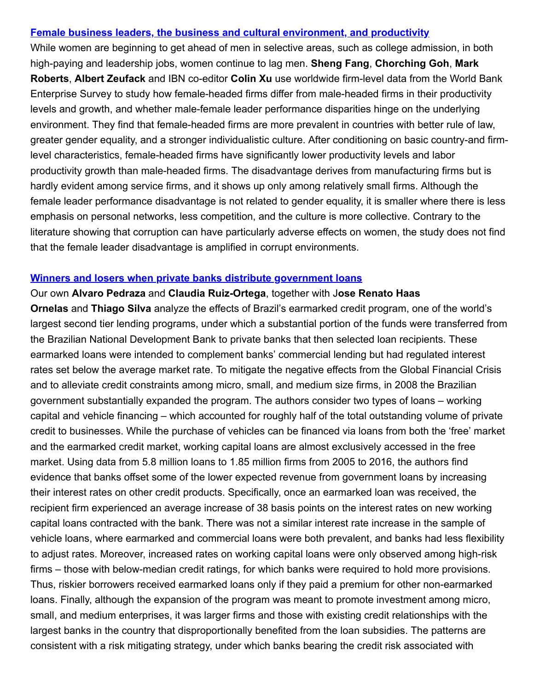### **[Female business leaders, the business and cultural environment, and productivity](http://t.newsletterext.worldbank.org/r/?id=h9436705,3dd7f9c,3df3c9f)**

While women are beginning to get ahead of men in selective areas, such as college admission, in both high-paying and leadership jobs, women continue to lag men. **Sheng Fang**, **Chorching Goh**, **Mark**

**Roberts**, **Albert Zeufack** and IBN co-editor **Colin Xu** use worldwide firm-level data from the World Bank Enterprise Survey to study how female-headed firms differ from male-headed firms in their productivity levels and growth, and whether male-female leader performance disparities hinge on the underlying environment. They find that female-headed firms are more prevalent in countries with better rule of law, greater gender equality, and a stronger individualistic culture. After conditioning on basic country-and firmlevel characteristics, female-headed firms have significantly lower productivity levels and labor productivity growth than male-headed firms. The disadvantage derives from manufacturing firms but is hardly evident among service firms, and it shows up only among relatively small firms. Although the female leader performance disadvantage is not related to gender equality, it is smaller where there is less emphasis on personal networks, less competition, and the culture is more collective. Contrary to the literature showing that corruption can have particularly adverse effects on women, the study does not find that the female leader disadvantage is amplified in corrupt environments.

#### **[Winners and losers when private banks distribute government loans](http://t.newsletterext.worldbank.org/r/?id=h9436705,3dd7f9c,3df3ca0)**

Our own **Alvaro Pedraza** and **Claudia Ruiz-Ortega**, together with J**ose Renato Haas**

**Ornelas** and **Thiago Silva** analyze the effects of Brazil's earmarked credit program, one of the world's largest second tier lending programs, under which a substantial portion of the funds were transferred from the Brazilian National Development Bank to private banks that then selected loan recipients. These earmarked loans were intended to complement banks' commercial lending but had regulated interest rates set below the average market rate. To mitigate the negative effects from the Global Financial Crisis and to alleviate credit constraints among micro, small, and medium size firms, in 2008 the Brazilian government substantially expanded the program. The authors consider two types of loans – working capital and vehicle financing – which accounted for roughly half of the total outstanding volume of private credit to businesses. While the purchase of vehicles can be financed via loans from both the 'free' market and the earmarked credit market, working capital loans are almost exclusively accessed in the free market. Using data from 5.8 million loans to 1.85 million firms from 2005 to 2016, the authors find evidence that banks offset some of the lower expected revenue from government loans by increasing their interest rates on other credit products. Specifically, once an earmarked loan was received, the recipient firm experienced an average increase of 38 basis points on the interest rates on new working capital loans contracted with the bank. There was not a similar interest rate increase in the sample of vehicle loans, where earmarked and commercial loans were both prevalent, and banks had less flexibility to adjust rates. Moreover, increased rates on working capital loans were only observed among high-risk firms – those with below-median credit ratings, for which banks were required to hold more provisions. Thus, riskier borrowers received earmarked loans only if they paid a premium for other non-earmarked loans. Finally, although the expansion of the program was meant to promote investment among micro, small, and medium enterprises, it was larger firms and those with existing credit relationships with the largest banks in the country that disproportionally benefited from the loan subsidies. The patterns are consistent with a risk mitigating strategy, under which banks bearing the credit risk associated with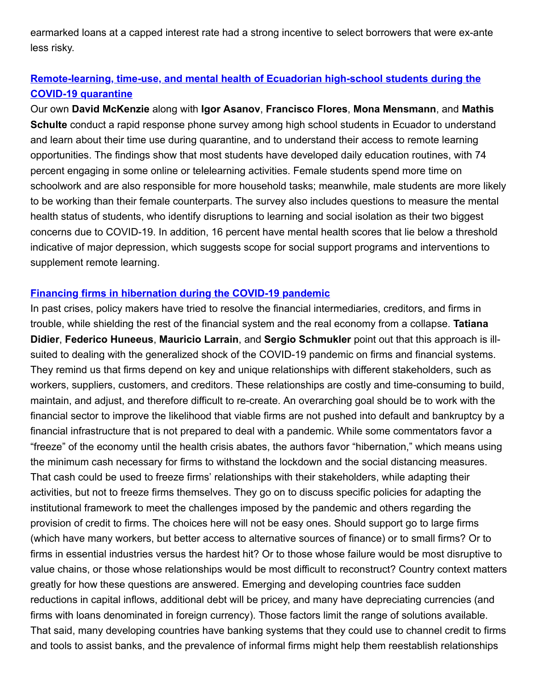earmarked loans at a capped interest rate had a strong incentive to select borrowers that were ex-ante less risky.

## **[Remote-learning, time-use, and mental health of Ecuadorian high-school students during the](http://t.newsletterext.worldbank.org/r/?id=h9436705,3dd7f9c,3df3ca1) COVID-19 quarantine**

Our own **David McKenzie** along with **Igor Asanov**, **Francisco Flores**, **Mona Mensmann**, and **Mathis Schulte** conduct a rapid response phone survey among high school students in Ecuador to understand and learn about their time use during quarantine, and to understand their access to remote learning opportunities. The findings show that most students have developed daily education routines, with 74 percent engaging in some online or telelearning activities. Female students spend more time on schoolwork and are also responsible for more household tasks; meanwhile, male students are more likely to be working than their female counterparts. The survey also includes questions to measure the mental health status of students, who identify disruptions to learning and social isolation as their two biggest concerns due to COVID-19. In addition, 16 percent have mental health scores that lie below a threshold indicative of major depression, which suggests scope for social support programs and interventions to supplement remote learning.

### **[Financing firms in hibernation during the COVID-19 pandemic](http://t.newsletterext.worldbank.org/r/?id=h9436705,3dd7f9c,3df3ca2)**

In past crises, policy makers have tried to resolve the financial intermediaries, creditors, and firms in trouble, while shielding the rest of the financial system and the real economy from a collapse. **Tatiana Didier**, **Federico Huneeus**, **Mauricio Larrain**, and **Sergio Schmukler** point out that this approach is illsuited to dealing with the generalized shock of the COVID-19 pandemic on firms and financial systems. They remind us that firms depend on key and unique relationships with different stakeholders, such as workers, suppliers, customers, and creditors. These relationships are costly and time-consuming to build, maintain, and adjust, and therefore difficult to re-create. An overarching goal should be to work with the financial sector to improve the likelihood that viable firms are not pushed into default and bankruptcy by a financial infrastructure that is not prepared to deal with a pandemic. While some commentators favor a "freeze" of the economy until the health crisis abates, the authors favor "hibernation," which means using the minimum cash necessary for firms to withstand the lockdown and the social distancing measures. That cash could be used to freeze firms' relationships with their stakeholders, while adapting their activities, but not to freeze firms themselves. They go on to discuss specific policies for adapting the institutional framework to meet the challenges imposed by the pandemic and others regarding the provision of credit to firms. The choices here will not be easy ones. Should support go to large firms (which have many workers, but better access to alternative sources of finance) or to small firms? Or to firms in essential industries versus the hardest hit? Or to those whose failure would be most disruptive to value chains, or those whose relationships would be most difficult to reconstruct? Country context matters greatly for how these questions are answered. Emerging and developing countries face sudden reductions in capital inflows, additional debt will be pricey, and many have depreciating currencies (and firms with loans denominated in foreign currency). Those factors limit the range of solutions available. That said, many developing countries have banking systems that they could use to channel credit to firms and tools to assist banks, and the prevalence of informal firms might help them reestablish relationships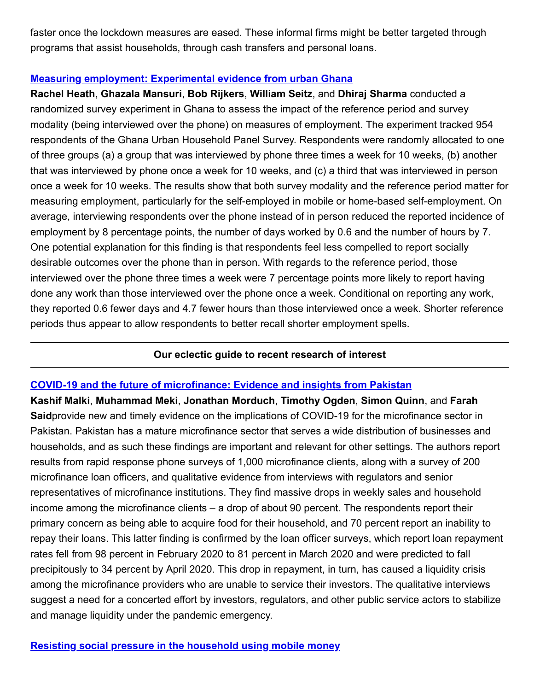faster once the lockdown measures are eased. These informal firms might be better targeted through programs that assist households, through cash transfers and personal loans.

### **[Measuring employment: Experimental evidence from urban Ghana](http://t.newsletterext.worldbank.org/r/?id=h9436705,3dd7f9c,3df3ca3)**

**Rachel Heath**, **Ghazala Mansuri**, **Bob Rijkers**, **William Seitz**, and **Dhiraj Sharma** conducted a randomized survey experiment in Ghana to assess the impact of the reference period and survey modality (being interviewed over the phone) on measures of employment. The experiment tracked 954 respondents of the Ghana Urban Household Panel Survey. Respondents were randomly allocated to one of three groups (a) a group that was interviewed by phone three times a week for 10 weeks, (b) another that was interviewed by phone once a week for 10 weeks, and (c) a third that was interviewed in person once a week for 10 weeks. The results show that both survey modality and the reference period matter for measuring employment, particularly for the self-employed in mobile or home-based self-employment. On average, interviewing respondents over the phone instead of in person reduced the reported incidence of employment by 8 percentage points, the number of days worked by 0.6 and the number of hours by 7. One potential explanation for this finding is that respondents feel less compelled to report socially desirable outcomes over the phone than in person. With regards to the reference period, those interviewed over the phone three times a week were 7 percentage points more likely to report having done any work than those interviewed over the phone once a week. Conditional on reporting any work, they reported 0.6 fewer days and 4.7 fewer hours than those interviewed once a week. Shorter reference periods thus appear to allow respondents to better recall shorter employment spells.

## **Our eclectic guide to recent research of interest**

## **[COVID-19 and the future of microfinance: Evidence and insights from Pakistan](http://t.newsletterext.worldbank.org/r/?id=h9436705,3dd7f9c,3df3ca4)**

**Kashif Malki**, **Muhammad Meki**, **Jonathan Morduch**, **Timothy Ogden**, **Simon Quinn**, and **Farah Said**provide new and timely evidence on the implications of COVID-19 for the microfinance sector in Pakistan. Pakistan has a mature microfinance sector that serves a wide distribution of businesses and households, and as such these findings are important and relevant for other settings. The authors report results from rapid response phone surveys of 1,000 microfinance clients, along with a survey of 200 microfinance loan officers, and qualitative evidence from interviews with regulators and senior representatives of microfinance institutions. They find massive drops in weekly sales and household income among the microfinance clients – a drop of about 90 percent. The respondents report their primary concern as being able to acquire food for their household, and 70 percent report an inability to repay their loans. This latter finding is confirmed by the loan officer surveys, which report loan repayment rates fell from 98 percent in February 2020 to 81 percent in March 2020 and were predicted to fall precipitously to 34 percent by April 2020. This drop in repayment, in turn, has caused a liquidity crisis among the microfinance providers who are unable to service their investors. The qualitative interviews suggest a need for a concerted effort by investors, regulators, and other public service actors to stabilize and manage liquidity under the pandemic emergency.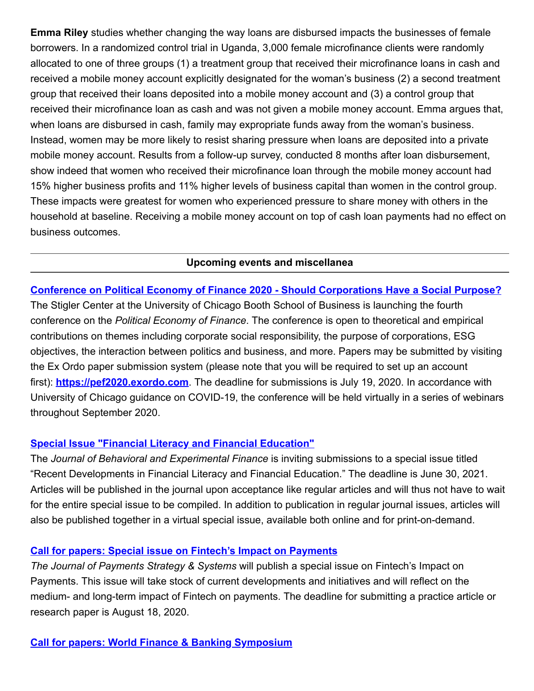**Emma Riley** studies whether changing the way loans are disbursed impacts the businesses of female borrowers. In a randomized control trial in Uganda, 3,000 female microfinance clients were randomly allocated to one of three groups (1) a treatment group that received their microfinance loans in cash and received a mobile money account explicitly designated for the woman's business (2) a second treatment group that received their loans deposited into a mobile money account and (3) a control group that received their microfinance loan as cash and was not given a mobile money account. Emma argues that, when loans are disbursed in cash, family may expropriate funds away from the woman's business. Instead, women may be more likely to resist sharing pressure when loans are deposited into a private mobile money account. Results from a follow-up survey, conducted 8 months after loan disbursement, show indeed that women who received their microfinance loan through the mobile money account had 15% higher business profits and 11% higher levels of business capital than women in the control group. These impacts were greatest for women who experienced pressure to share money with others in the household at baseline. Receiving a mobile money account on top of cash loan payments had no effect on business outcomes.

### **Upcoming events and miscellanea**

**[Conference on Political Economy of Finance 2020 - Should Corporations Have a Social Purpose?](http://t.newsletterext.worldbank.org/r/?id=h9436705,3dd7f9c,3df3ca6)** The Stigler Center at the University of Chicago Booth School of Business is launching the fourth conference on the *Political Economy of Finance*. The conference is open to theoretical and empirical contributions on themes including corporate social responsibility, the purpose of corporations, ESG objectives, the interaction between politics and business, and more. Papers may be submitted by visiting the Ex Ordo paper submission system (please note that you will be required to set up an account first): **[https://pef2020.exordo.com](http://t.newsletterext.worldbank.org/r/?id=h9436705,3dd7f9c,3df3ca7)**. The deadline for submissions is July 19, 2020. In accordance with University of Chicago guidance on COVID-19, the conference will be held virtually in a series of webinars throughout September 2020.

### **[Special Issue "Financial Literacy and Financial Education"](http://t.newsletterext.worldbank.org/r/?id=h9436705,3dd7f9c,3df3ca8)**

The *Journal of Behavioral and Experimental Finance* is inviting submissions to a special issue titled "Recent Developments in Financial Literacy and Financial Education." The deadline is June 30, 2021. Articles will be published in the journal upon acceptance like regular articles and will thus not have to wait for the entire special issue to be compiled. In addition to publication in regular journal issues, articles will also be published together in a virtual special issue, available both online and for print-on-demand.

## **[Call for papers: Special issue on Fintech's Impact on Payments](http://t.newsletterext.worldbank.org/r/?id=h9436705,3dd7f9c,3df3ca9)**

*The Journal of Payments Strategy & Systems* will publish a special issue on Fintech's Impact on Payments. This issue will take stock of current developments and initiatives and will reflect on the medium- and long-term impact of Fintech on payments. The deadline for submitting a practice article or research paper is August 18, 2020.